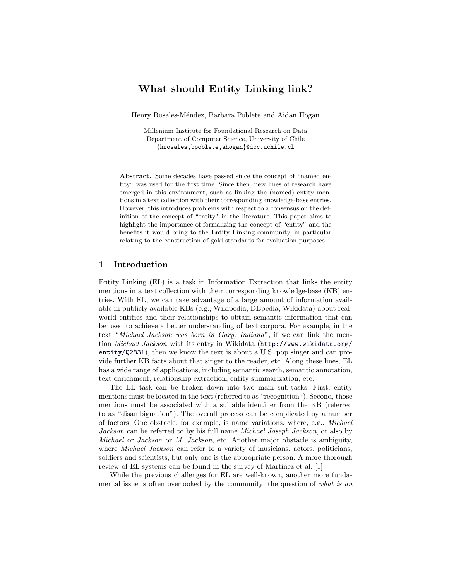# What should Entity Linking link?

Henry Rosales-Méndez, Barbara Poblete and Aidan Hogan

Millenium Institute for Foundational Research on Data Department of Computer Science, University of Chile {hrosales,bpoblete,ahogan}@dcc.uchile.cl

Abstract. Some decades have passed since the concept of "named entity" was used for the first time. Since then, new lines of research have emerged in this environment, such as linking the (named) entity mentions in a text collection with their corresponding knowledge-base entries. However, this introduces problems with respect to a consensus on the definition of the concept of "entity" in the literature. This paper aims to highlight the importance of formalizing the concept of "entity" and the benefits it would bring to the Entity Linking community, in particular relating to the construction of gold standards for evaluation purposes.

### <span id="page-0-0"></span>1 Introduction

Entity Linking (EL) is a task in Information Extraction that links the entity mentions in a text collection with their corresponding knowledge-base (KB) entries. With EL, we can take advantage of a large amount of information available in publicly available KBs (e.g., Wikipedia, DBpedia, Wikidata) about realworld entities and their relationships to obtain semantic information that can be used to achieve a better understanding of text corpora. For example, in the text "Michael Jackson was born in Gary, Indiana", if we can link the mention Michael Jackson with its entry in Wikidata ([http://www.wikidata.org/](http://www.wikidata.org/entity/Q2831) [entity/Q2831](http://www.wikidata.org/entity/Q2831)), then we know the text is about a U.S. pop singer and can provide further KB facts about that singer to the reader, etc. Along these lines, EL has a wide range of applications, including semantic search, semantic annotation, text enrichment, relationship extraction, entity summarization, etc.

The EL task can be broken down into two main sub-tasks. First, entity mentions must be located in the text (referred to as "recognition"). Second, those mentions must be associated with a suitable identifier from the KB (referred to as "disambiguation"). The overall process can be complicated by a number of factors. One obstacle, for example, is name variations, where, e.g., Michael Jackson can be referred to by his full name Michael Joseph Jackson, or also by Michael or Jackson or M. Jackson, etc. Another major obstacle is ambiguity, where *Michael Jackson* can refer to a variety of musicians, actors, politicians, soldiers and scientists, but only one is the appropriate person. A more thorough review of EL systems can be found in the survey of Martinez et al. [\[1\]](#page-4-0)

While the previous challenges for EL are well-known, another more fundamental issue is often overlooked by the community: the question of what is an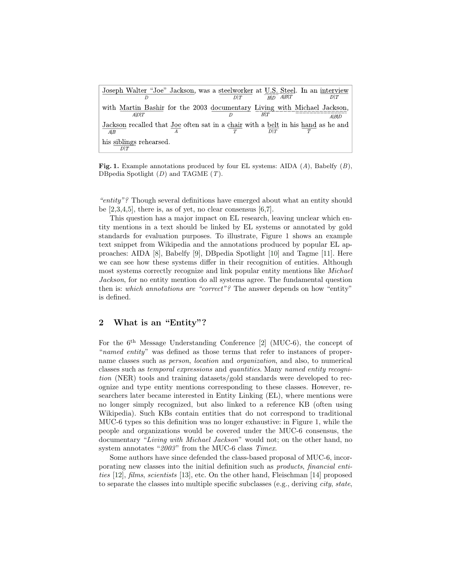| Joseph Walter "Joe" Jackson, was a steelworker at U.S. Steel. In an interview                        | D[T] | $RID \quad AB$ |       |
|------------------------------------------------------------------------------------------------------|------|----------------|-------|
| with Martin Bashir for the 2003 documentary Living with Michael Jackson,<br>$A$ $D$ $T$              |      | R T            | A B D |
| Jackson recalled that Joe often sat in a chair with a belt in his hand as he and<br>$A$ <sub>B</sub> | T    | D[T]           |       |
| his siblings rehearsed.                                                                              |      |                |       |

Fig. 1. Example annotations produced by four EL systems: AIDA  $(A)$ , Babelfy  $(B)$ , DBpedia Spotlight  $(D)$  and TAGME  $(T)$ .

"entity"? Though several definitions have emerged about what an entity should be  $[2,3,4,5]$  $[2,3,4,5]$  $[2,3,4,5]$  $[2,3,4,5]$ , there is, as of yet, no clear consensus  $[6,7]$  $[6,7]$ .

This question has a major impact on EL research, leaving unclear which entity mentions in a text should be linked by EL systems or annotated by gold standards for evaluation purposes. To illustrate, Figure [1](#page-0-0) shows an example text snippet from Wikipedia and the annotations produced by popular EL approaches: AIDA [\[8\]](#page-4-7), Babelfy [\[9\]](#page-4-8), DBpedia Spotlight [\[10\]](#page-4-9) and Tagme [\[11\]](#page-4-10). Here we can see how these systems differ in their recognition of entities. Although most systems correctly recognize and link popular entity mentions like Michael Jackson, for no entity mention do all systems agree. The fundamental question then is: which annotations are "correct"? The answer depends on how "entity" is defined.

## 2 What is an "Entity"?

For the  $6<sup>th</sup>$  Message Understanding Conference [\[2\]](#page-4-1) (MUC-6), the concept of "named entity" was defined as those terms that refer to instances of propername classes such as person, location and organization, and also, to numerical classes such as temporal expressions and quantities. Many named entity recognition (NER) tools and training datasets/gold standards were developed to recognize and type entity mentions corresponding to these classes. However, researchers later became interested in Entity Linking (EL), where mentions were no longer simply recognized, but also linked to a reference KB (often using Wikipedia). Such KBs contain entities that do not correspond to traditional MUC-6 types so this definition was no longer exhaustive: in Figure [1,](#page-0-0) while the people and organizations would be covered under the MUC-6 consensus, the documentary "Living with Michael Jackson" would not; on the other hand, no system annotates " $2003$ " from the MUC-6 class Timex.

Some authors have since defended the class-based proposal of MUC-6, incorporating new classes into the initial definition such as products, financial entities [\[12\]](#page-4-11), films, scientists [\[13\]](#page-4-12), etc. On the other hand, Fleischman [\[14\]](#page-4-13) proposed to separate the classes into multiple specific subclasses (e.g., deriving city, state,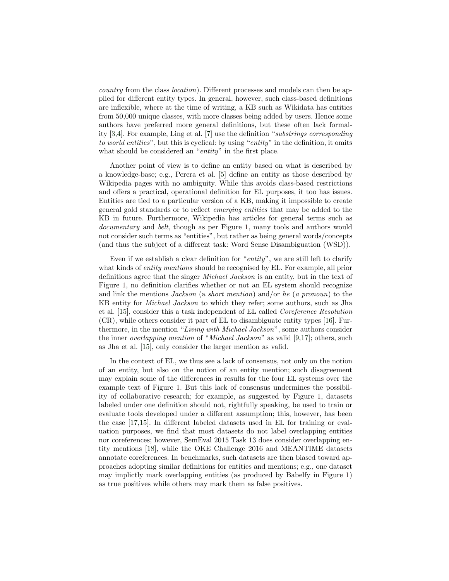country from the class location). Different processes and models can then be applied for different entity types. In general, however, such class-based definitions are inflexible, where at the time of writing, a KB such as Wikidata has entities from 50,000 unique classes, with more classes being added by users. Hence some authors have preferred more general definitions, but these often lack formality [\[3,](#page-4-2)[4\]](#page-4-3). For example, Ling et al. [\[7\]](#page-4-6) use the definition "substrings corresponding to world entities", but this is cyclical: by using "entity" in the definition, it omits what should be considered an "*entity*" in the first place.

Another point of view is to define an entity based on what is described by a knowledge-base; e.g., Perera et al. [\[5\]](#page-4-4) define an entity as those described by Wikipedia pages with no ambiguity. While this avoids class-based restrictions and offers a practical, operational definition for EL purposes, it too has issues. Entities are tied to a particular version of a KB, making it impossible to create general gold standards or to reflect emerging entities that may be added to the KB in future. Furthermore, Wikipedia has articles for general terms such as documentary and belt, though as per Figure [1,](#page-0-0) many tools and authors would not consider such terms as "entities", but rather as being general words/concepts (and thus the subject of a different task: Word Sense Disambiguation (WSD)).

Even if we establish a clear definition for "entity", we are still left to clarify what kinds of *entity mentions* should be recognised by EL. For example, all prior definitions agree that the singer Michael Jackson is an entity, but in the text of Figure [1,](#page-0-0) no definition clarifies whether or not an EL system should recognize and link the mentions  $Jackson$  (a short mention) and/or he (a pronoun) to the KB entity for Michael Jackson to which they refer; some authors, such as Jha et al. [\[15\]](#page-4-14), consider this a task independent of EL called Coreference Resolution (CR), while others consider it part of EL to disambiguate entity types [\[16\]](#page-4-15). Furthermore, in the mention "Living with Michael Jackson", some authors consider the inner overlapping mention of "Michael Jackson" as valid [\[9,](#page-4-8)[17\]](#page-4-16); others, such as Jha et al. [\[15\]](#page-4-14), only consider the larger mention as valid.

In the context of EL, we thus see a lack of consensus, not only on the notion of an entity, but also on the notion of an entity mention; such disagreement may explain some of the differences in results for the four EL systems over the example text of Figure [1.](#page-0-0) But this lack of consensus undermines the possibility of collaborative research; for example, as suggested by Figure [1,](#page-0-0) datasets labeled under one definition should not, rightfully speaking, be used to train or evaluate tools developed under a different assumption; this, however, has been the case [\[17](#page-4-16)[,15\]](#page-4-14). In different labeled datasets used in EL for training or evaluation purposes, we find that most datasets do not label overlapping entities nor coreferences; however, SemEval 2015 Task 13 does consider overlapping entity mentions [\[18\]](#page-4-17), while the OKE Challenge 2016 and MEANTIME datasets annotate coreferences. In benchmarks, such datasets are then biased toward approaches adopting similar definitions for entities and mentions; e.g., one dataset may implictly mark overlapping entities (as produced by Babelfy in Figure [1\)](#page-0-0) as true positives while others may mark them as false positives.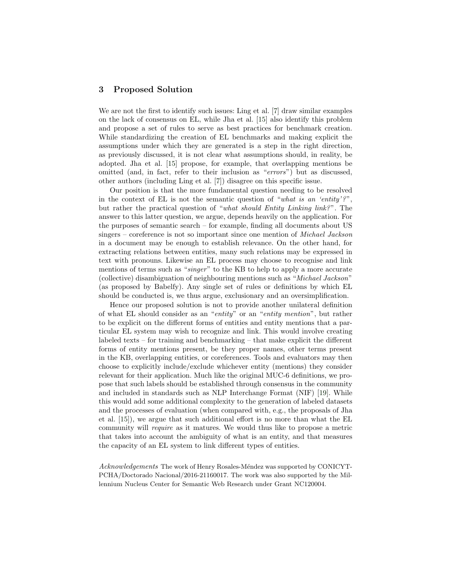### 3 Proposed Solution

We are not the first to identify such issues: Ling et al. [\[7\]](#page-4-6) draw similar examples on the lack of consensus on EL, while Jha et al. [\[15\]](#page-4-14) also identify this problem and propose a set of rules to serve as best practices for benchmark creation. While standardizing the creation of EL benchmarks and making explicit the assumptions under which they are generated is a step in the right direction, as previously discussed, it is not clear what assumptions should, in reality, be adopted. Jha et al. [\[15\]](#page-4-14) propose, for example, that overlapping mentions be omitted (and, in fact, refer to their inclusion as "errors") but as discussed, other authors (including Ling et al. [\[7\]](#page-4-6)) disagree on this specific issue.

Our position is that the more fundamental question needing to be resolved in the context of EL is not the semantic question of "what is an 'entity'?". but rather the practical question of "what should Entity Linking link?". The answer to this latter question, we argue, depends heavily on the application. For the purposes of semantic search – for example, finding all documents about US singers – coreference is not so important since one mention of Michael Jackson in a document may be enough to establish relevance. On the other hand, for extracting relations between entities, many such relations may be expressed in text with pronouns. Likewise an EL process may choose to recognise and link mentions of terms such as "singer" to the KB to help to apply a more accurate (collective) disambiguation of neighbouring mentions such as "Michael Jackson" (as proposed by Babelfy). Any single set of rules or definitions by which EL should be conducted is, we thus argue, exclusionary and an oversimplification.

Hence our proposed solution is not to provide another unilateral definition of what EL should consider as an "entity" or an "entity mention", but rather to be explicit on the different forms of entities and entity mentions that a particular EL system may wish to recognize and link. This would involve creating labeled texts – for training and benchmarking – that make explicit the different forms of entity mentions present, be they proper names, other terms present in the KB, overlapping entities, or coreferences. Tools and evaluators may then choose to explicitly include/exclude whichever entity (mentions) they consider relevant for their application. Much like the original MUC-6 definitions, we propose that such labels should be established through consensus in the community and included in standards such as NLP Interchange Format (NIF) [\[19\]](#page-4-18). While this would add some additional complexity to the generation of labeled datasets and the processes of evaluation (when compared with, e.g., the proposals of Jha et al. [\[15\]](#page-4-14)), we argue that such additional effort is no more than what the EL community will require as it matures. We would thus like to propose a metric that takes into account the ambiguity of what is an entity, and that measures the capacity of an EL system to link different types of entities.

Acknowledgements The work of Henry Rosales-Méndez was supported by CONICYT-PCHA/Doctorado Nacional/2016-21160017. The work was also supported by the Millennium Nucleus Center for Semantic Web Research under Grant NC120004.